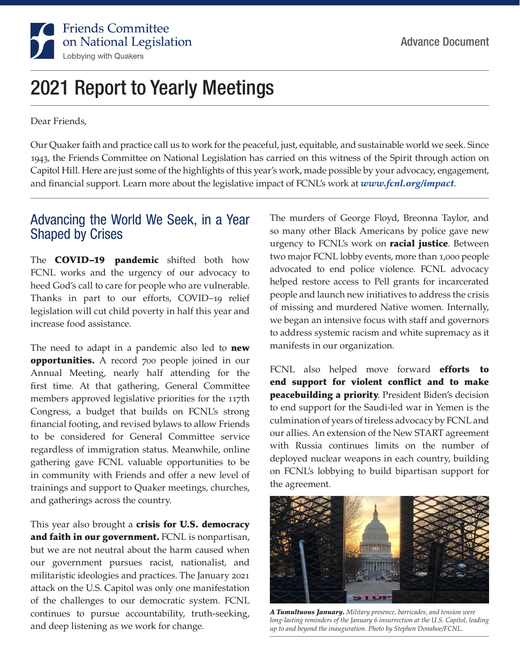

# 2021 Report to Yearly Meetings

Dear Friends,

Our Quaker faith and practice call us to work for the peaceful, just, equitable, and sustainable world we seek. Since 1943, the Friends Committee on National Legislation has carried on this witness of the Spirit through action on Capitol Hill. Here are just some of the highlights of this year's work, made possible by your advocacy, engagement, and financial support. Learn more about the legislative impact of FCNL's work at *www.fcnl.org/impact*.

### Advancing the World We Seek, in a Year Shaped by Crises

The **COVID-19 pandemic** shifted both how FCNL works and the urgency of our advocacy to heed God's call to care for people who are vulnerable. Thanks in part to our efforts, COVID–19 relief legislation will cut child poverty in half this year and increase food assistance.

The need to adapt in a pandemic also led to **new opportunities.** A record 700 people joined in our Annual Meeting, nearly half attending for the first time. At that gathering, General Committee members approved legislative priorities for the 117th Congress, a budget that builds on FCNL's strong financial footing, and revised bylaws to allow Friends to be considered for General Committee service regardless of immigration status. Meanwhile, online gathering gave FCNL valuable opportunities to be in community with Friends and offer a new level of trainings and support to Quaker meetings, churches, and gatherings across the country.

This year also brought a crisis for U.S. democracy and faith in our government. FCNL is nonpartisan, but we are not neutral about the harm caused when our government pursues racist, nationalist, and militaristic ideologies and practices. The January 2021 attack on the U.S. Capitol was only one manifestation of the challenges to our democratic system. FCNL continues to pursue accountability, truth-seeking, and deep listening as we work for change.

The murders of George Floyd, Breonna Taylor, and so many other Black Americans by police gave new urgency to FCNL's work on **racial justice**. Between two major FCNL lobby events, more than 1,000 people advocated to end police violence. FCNL advocacy helped restore access to Pell grants for incarcerated people and launch new initiatives to address the crisis of missing and murdered Native women. Internally, we began an intensive focus with staff and governors to address systemic racism and white supremacy as it manifests in our organization.

FCNL also helped move forward **efforts to** end support for violent conflict and to make peacebuilding a priority. President Biden's decision to end support for the Saudi-led war in Yemen is the culmination of years of tireless advocacy by FCNL and our allies. An extension of the New START agreement with Russia continues limits on the number of deployed nuclear weapons in each country, building on FCNL's lobbying to build bipartisan support for the agreement.



*A Tumultuous January. Military presence, barricades, and tension were long-lasting reminders of the January 6 insurrection at the U.S. Capitol, leading up to and beyond the inauguration. Photo by Stephen Donahoe/FCNL.*